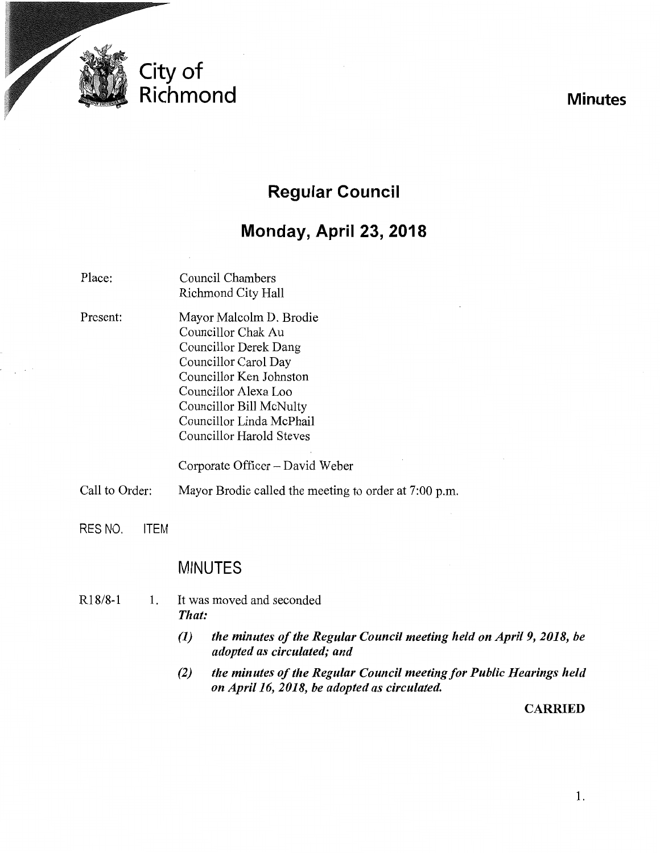

# **Regular Council**

# **Monday, April 23, 2018**

| Place:         |             | Council Chambers<br><b>Richmond City Hall</b>                                                                                                                                                                                                                                  |
|----------------|-------------|--------------------------------------------------------------------------------------------------------------------------------------------------------------------------------------------------------------------------------------------------------------------------------|
| Present:       |             | Mayor Malcolm D. Brodie<br>Councillor Chak Au<br>Councillor Derek Dang<br>Councillor Carol Day<br>Councillor Ken Johnston<br>Councillor Alexa Loo<br>Councillor Bill McNulty<br>Councillor Linda McPhail<br><b>Councillor Harold Steves</b><br>Corporate Officer - David Weber |
| Call to Order: |             | Mayor Brodie called the meeting to order at 7:00 p.m.                                                                                                                                                                                                                          |
|                |             |                                                                                                                                                                                                                                                                                |
| RES NO.        | <b>ITEM</b> |                                                                                                                                                                                                                                                                                |
|                |             | <b>MINUTES</b>                                                                                                                                                                                                                                                                 |
| $R18/8-1$      | 1.          | It was moved and seconded<br>That:                                                                                                                                                                                                                                             |
|                |             | $(1)$ the minutes of the Decular Council meeting held on April 0, 2019                                                                                                                                                                                                         |

- *(1) the minutes of the Regular Council meeting held on Apri/9, 2018, be adopted as circulated; and*
- *(2) the minutes of the Regular Council meeting for Public Hearings held on Apri/16, 2018, be adopted as circulated.*

**CARRIED** 

**Minutes**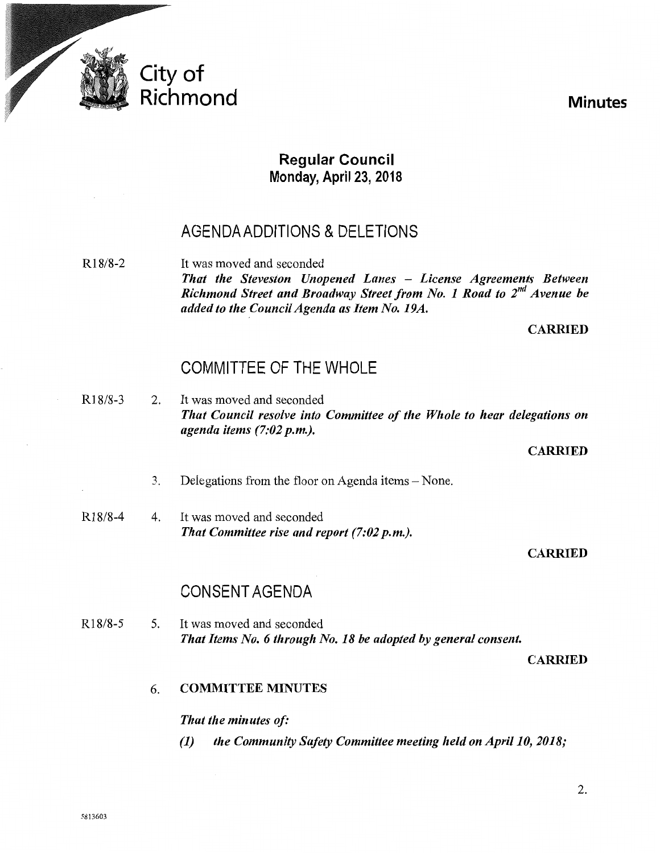

## **Regular Council Monday, April** 23, **2018**

## AGENDA ADDITIONS & DELETIONS

R18/8-2 It was moved and seconded *That the Steveston Unopened Lanes* - *License Agreements Between Richmond Street and Broadway Street from No. 1 Road to 2nd Avenue be added to the Council Agenda as Item No. 19A.* 

CARRIED

## COMMITTEE OF THE WHOLE

R18/8-3 2. It was moved and seconded *That Council resolve into Committee of the Whole to hear delegations on agenda items (7:02p.m.).* 

**CARRIED** 

- 3. Delegations from the floor on Agenda items- None.
- R18/8-4 4. It was moved and seconded *That Committee rise and report (7:02 p.m.).*

### CARRIED

## CONSENT AGENDA

R18/8-5 5. It was moved and seconded *That Items No.6 through No. 18 be adopted by general consent.* 

CARRIED

## 6. COMMITTEE MINUTES

### *That the minutes of:*

*(1) the Community Safety Committee meeting held on April 10, 2018;*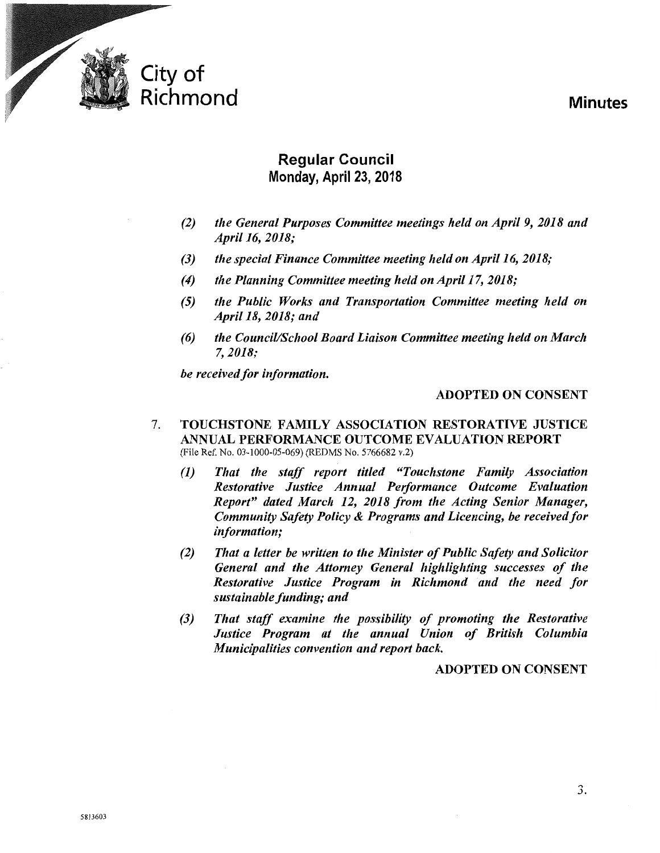

## **Regular Council Monday, April 23, 2018**

- *(2) the General Purposes Committee meetings held on April 9, 2018 and April16, 2018;*
- *(3) the special Finance Committee meeting held on April16, 2018;*
- *(4) the Planning Committee meeting held onApril17, 2018;*
- *(5) the Public Works and Transportation Committee meeting held on April18, 2018; and*
- *(6) the Council/School Board Liaison Committee meeting held on March 7, 2018;*

*be received for information.* 

### ADOPTED ON CONSENT

- 7. TOUCHSTONE FAMILY ASSOCIATION RESTORATIVE JUSTICE ANNUAL PERFORMANCE OUTCOME EVALUATION REPORT (File Ref. No. 03-1000-05-069) (REDMS No. 5766682 v.2)
	- *(1) That the staff report titled "Touchstone Family Association Restorative Justice Annual Performance Outcome Evaluation Report" dated March 12, 2018 from the Acting Senior Manager, Community Safety Policy* & *Programs and Licencing, be received for information;*
	- *(2) That a letter be written to the Minister of Public Safety and Solicitor General and the Attorney General highlighting successes of the Restorative Justice Program in Richmond and the need for sustainable funding; and*
	- *(3) That staff examine the possibility of promoting the Restorative Justice Program at the annual Union of British Columbia Municipalities convention and report back.*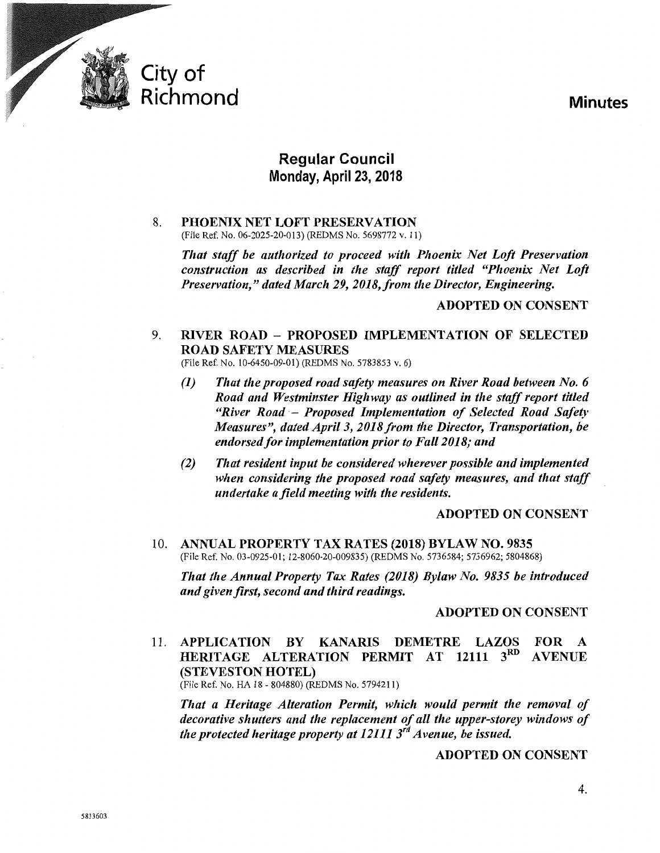

## **Regular Council**  Monday, April 23, 2018

### 8. PHOENIX NET LOFT PRESERVATION (File Ref. No. 06-2025-20-013) (REDMS No. 5698772 v. 11)

*That staff be authorized to proceed with Phoenix Net Loft Preservation construction as described in the staff report titled "Phoenix Net Loft Preservation," dated March 29, 2018,from the Director, Engineering.* 

### ADOPTED ON CONSENT

## 9. RIVER ROAD - PROPOSED IMPLEMENTATION OF SELECTED ROAD SAFETY MEASURES

(File Ref. No. 10-6450-09-01) (REDMS No. 5783853 v. 6)

- *(1) That the proposed road safety measures on River Road between No. 6 Road and Westminster Highway as outlined in the staff report titled ''River Road* - *Proposed Implementation of Selected Road Safety Measures", dated Apri/3, 2018 from the Director, Transportation, be endorsed for implementation prior to Fal/2018; and*
- *(2) That resident input be considered wherever possible and implemented when considering the proposed road safety measures, and that staff undertake a field meeting with the residents.*

### ADOPTED ON CONSENT

10. ANNUAL PROPERTY TAX RATES (2018) BYLAW NO. 9835 (File Ref. No. 03-0925-01; 12-8060-20-009835) (REDMS No. 5736584; 5736962; 5804868)

*That the Annual Property Tax Rates (2018) Bylaw No. 9835 be introduced and given first, second and third readings.* 

### ADOPTED ON CONSENT

11. APPLICATION BY KANARIS DEMETRE LAZOS FOR A HERITAGE ALTERATION PERMIT AT 12111 3<sup>RD</sup> AVENUE {STEVESTON HOTEL)

(File Ref. No. HA 18- 804880) (REDMS No. 5794211)

*That a Heritage Alteration Permit, which would permit the removal of decorative shutters and the replacement of all the upper-storey windows of the protected heritage property at 12111 3'd Avenue, he issued.*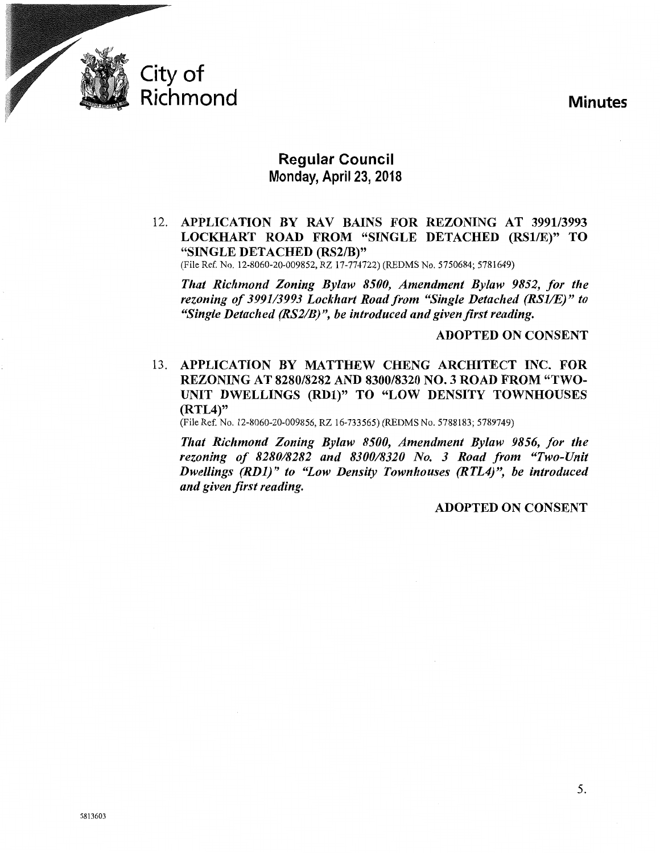

## **Regular Council Monday, April23, 2018**

12. APPLICATION BY RAV BAINS FOR REZONING AT 3991/3993 LOCKHART ROAD FROM "SINGLE DETACHED (RS1/E)" TO "SINGLE DETACHED (RS2/B)"

(File Ref. No. 12-8060-20-009852, RZ 17-774722) (REDMS No. 5750684; 5781649)

*Tltat Richmond Zoning Bylaw 8500, Amendment Bylaw 9852, for tlte rezoning of 3991/3993 Lock/tart Road from "Single Detached (RSJ/E)" to "Single Detached (RS2/B) ", be introduced and given first reading.* 

ADOPTED ON CONSENT

13. APPLICATION BY MATTHEW CHENG ARCHITECT INC. FOR REZONING AT 8280/8282 AND 8300/8320 NO.3 ROAD FROM "TWO-UNIT DWELLINGS (RD1)" TO "LOW DENSITY TOWNHOUSES (RTL4)"

(File Ref. No. 12-8060-20-009856, RZ 16-733565) (REDMS No. 5788183; 5789749)

*Tltat Richmond Zoning Bylaw 8500, Amendment Bylaw 9856, for tlte rezoning of 8280/8282 and 8300/8320 No. 3 Road from "Two-Unit Dwellings (RD1)" to "Low Density Townhouses (RTL4)", be introduced and given first reading.*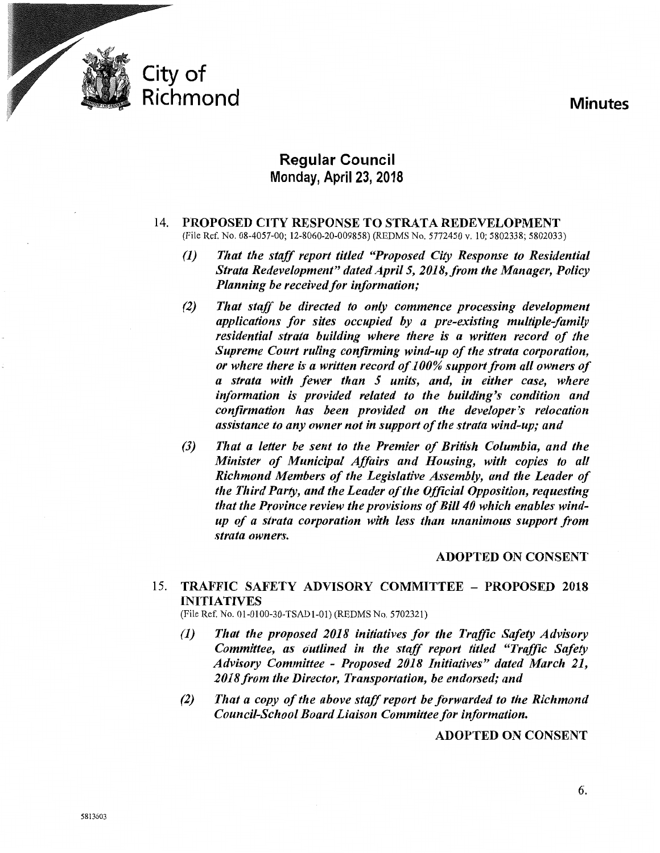

## **Regular Council Monday, April** 23, **2018**

### 14. PROPOSED CITY RESPONSE TO STRATA REDEVELOPMENT (File Ref. No. 08-4057-00; 12-8060-20-009858) (REDMS No. 5772450 v. 10; 5802338; 5802033)

- *(1) Tltat tlte staff report titled "Proposed City Response to Residential Strata Redevelopment" dated April 5, 2018, from the Manager, Policy Planning be received for information;*
- *(2) Tltat staff be directed to only commence processing development applications for sites occupied by a pre-existing multiple-family residential strata building where there is a written record of tlte Supreme Court ruling confirming wind-up of the strata corporation, or wltere there is a written record of 100% support from all owners of a strata with fewer titan 5 units, and, in either case, where*  information is provided related to the building's condition and *confirmation has been provided on the developer's relocation assistance to any owner not in support of the strata wind-up; and*
- *(3) Tltat a letter be sent to tlte Premier of British Columbia, and tlte Minister of Municipal Affairs and Housing, with copies to all Richmond Members of the Legislative Assembly, and the Leader of the Third Party, and the Leader of the Official Opposition, requesting that the Province review the provisions of Bill 40 which enables windup of a strata corporation with less than unanimous support from strata owners.*

### ADOPTED ON CONSENT

## 15. TRAFFIC SAFETY ADVISORY COMMITTEE - PROPOSED 2018 INITIATIVES

(File Ref. No. 01-0100-30-TSAD1-01) (REDMS No. 5702321)

- *(1) Tltat the proposed 2018 initiatives for tlte Traffic Safety Advisory Committee, as outlined in the staff report titled "Traffic Safety Advisory Committee* - *Proposed 2018 Initiatives" dated March 21,*  2018 from the Director, Transportation, be endorsed; and
- *(2) Tltat a copy of tlte above staff report be forwarded to tlte Richmond Council-School Board Liaison Committee for information.*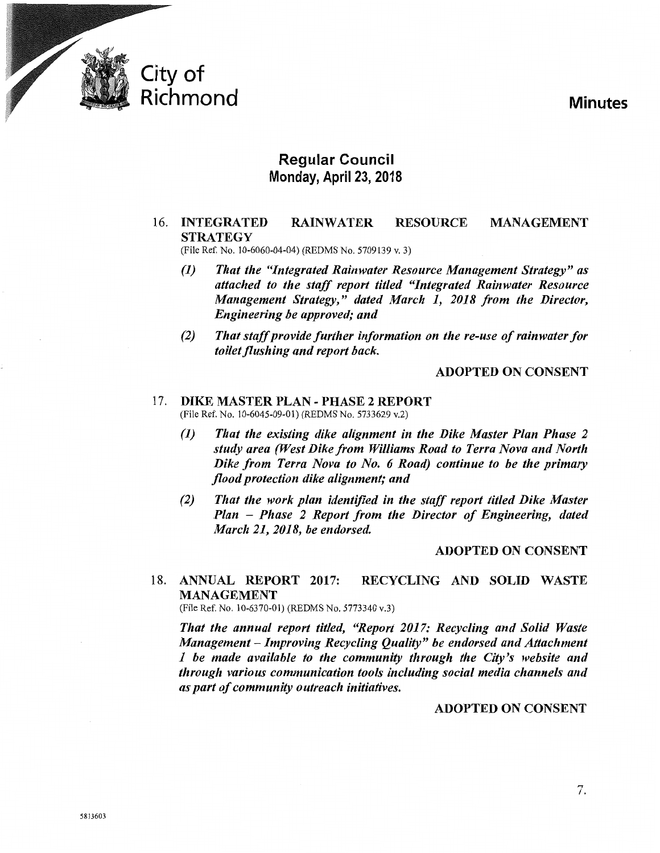

## **Regular Council Monday, April** 23, **2018**

#### 16. INTEGRATED **STRATEGY** RAINWATER RESOURCE MANAGEMENT

(File Ref. No. 10-6060-04-04) (REDMS No. 5709139 v. 3)

- *(1) That the "Integrated Rainwater Resource Management Strategy" as attached to the staff report titled "Integrated Rainwater Resource Management Strategy," dated March 1, 2018 from the Director, Engineering be approved; and*
- *(2) That staff provide further information on the re-use of rainwater for toilet flushing and report back.*

### ADOPTED ON CONSENT

### 17. DIKE MASTER PLAN- PHASE 2 REPORT (File Ref. No. 10-6045-09-01) (REDMS No. 5733629 v.2)

- (1) *That the existing dike alignment in the Dike Master Plan Phase 2 study area (West Dike from Williams Road to Terra Nova and North Dike from Terra Nova to No. 6 Road) continue to be the primary flood protection dike alignment; and*
- *(2) That the work plan identified in the staff report titled Dike Master Plan* - *Phase 2 Report from the Director of Engineering, dated March 21, 2018, be endorsed.*

### ADOPTED ON CONSENT

18. ANNUAL REPORT 2017: RECYCLING AND SOLID WASTE MANAGEMENT

(File Ref. No. 10-6370-01) (REDMS No. 5773340 v.3)

*That the annual report titled, "Report 2017: Recycling and Solid Waste Management- Improving Recycling Quality" be endorsed and Attachment 1 be made available to the community through the City's website and through various communication tools including social media channels and as part of community outreach initiatives.*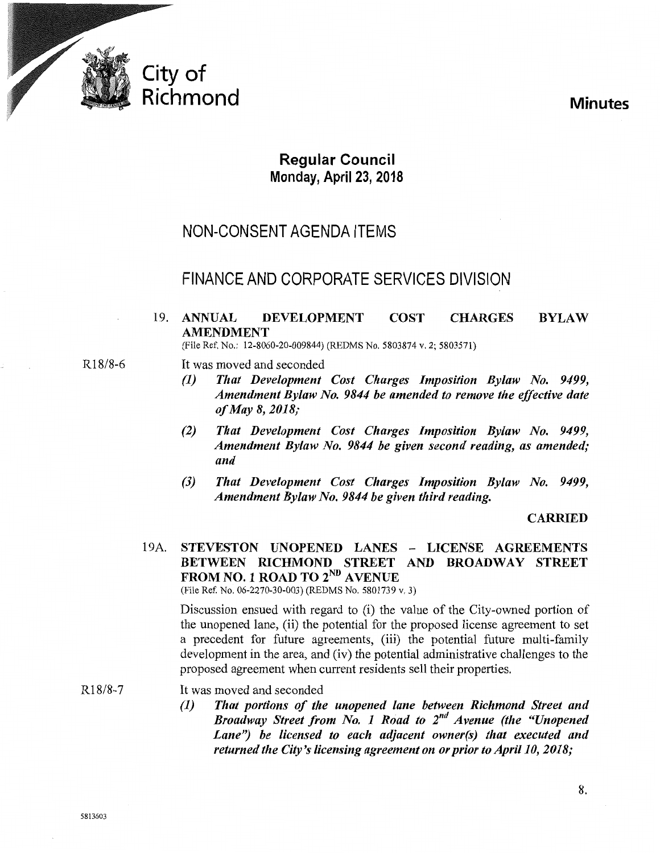

## **Regular Council Monday, April** 23, **2018**

## NON-CONSENT AGENDA ITEMS

## FINANCE AND CORPORATE SERVICES DIVISION

#### 19. ANNUAL DEVELOPMENT COST CHARGES AMENDMENT BYLAW

(File Ref. No.: 12-8060-20-009844) (REDMS No. 5803874 v. 2; 5803571)

- R18/8-6 It was moved and seconded
	- *(1) That Development Cost Charges Imposition Bylaw No. 9499, Amendment Bylaw No. 9844 be amended to remove the effective date of May 8, 2018;*
	- *(2) That Development Cost Charges Imposition Bylaw No. 9499, Amendment Bylaw No. 9844 be given second reading, as amended; and*
	- *(3) That Development Cost Charges Imposition Bylaw No. 9499, Amendment Bylaw No. 9844 be given third reading.*

### CARRIED

## 19A. STEVESTON UNOPENED LANES - LICENSE AGREEMENTS BETWEEN RICHMOND STREET AND BROADWAY STREET FROM NO. 1 ROAD TO 2<sup>ND</sup> AVENUE

(File Ref. No. 06-2270-30-003) (REDMS No. 5801739 v. 3)

Discussion ensued with regard to (i) the value of the City-owned portion of the unopened lane, (ii) the potential for the proposed license agreement to set a precedent for future agreements, (iii) the potential future multi-family development in the area, and (iv) the potential administrative challenges to the proposed agreement when current residents sell their properties.

R18/8-7 It was moved and seconded

> *(1) That portions of the unopened lane between Richmond Street and Broadway Street from No. 1 Road to 2nd Avenue (the "Unopened*  Lane") be licensed to each adjacent owner(s) that executed and *returned the City's licensing agreement on or prior to April 10, 2018;*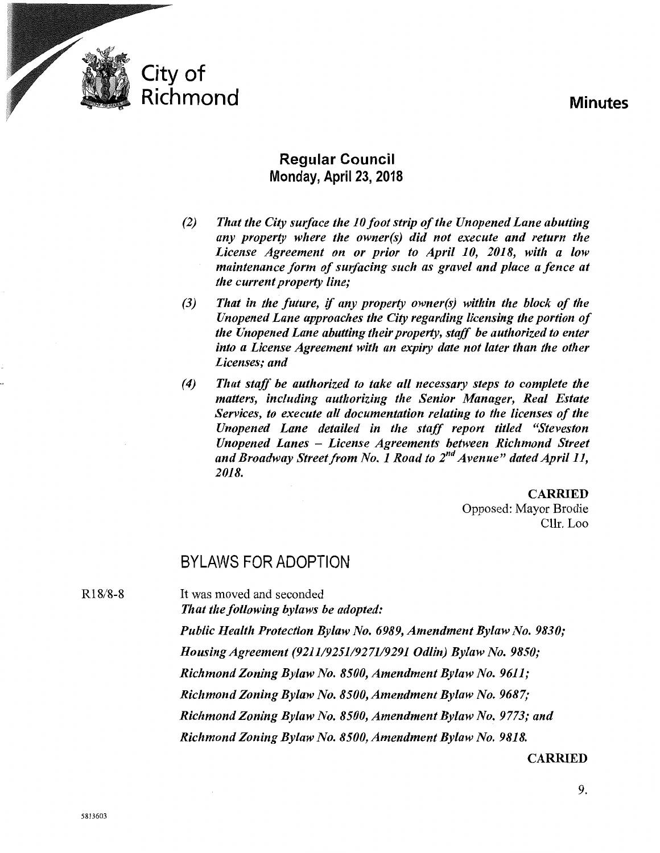

## **Regular Council Monday, April23, 2018**

- *(2) That tlte City surface tlte 10 foot strip of the Unopened Lane abutting any property where tlte owner(s) did not execute and return the License Agreement on or prior to April 10, 2018, with a low maintenance form of surfacing such as gravel and place a fence at tlte current property line;*
- *(3) Tltat in the future,* if *any property owner(s) within the block of the Unopened Lane approaches the City regarding licensing the portion of the Unopened Lane abutting their property, staff be authorized to enter into a License Agreement with an expiry date not later than the other Licenses; and*
- *(4) That staff be authorized to take all necessary steps to complete the matters, including authorizing the Senior Manager, Real Estate Services, to execute all documentation relating to the licenses of the Unopened Lane detailed in the staff report titled "Steveston Unopened Lanes* - *License Agreements between Richmond Street and Broadway Street from No. 1 Road to 2nd Avenue" dated April11, 2018.*

CARRIED Opposed: Mayor Brodie Cllr. Loo

## BYLAWS FOR ADOPTION

It was moved and seconded

R18/8-8

*That the following bylaws be adopted: Public Health Protection Bylaw No. 6989, Amendment Bylaw No. 9830; Housing Agreement (9211/925119271/9291 Odlin) Bylaw No. 9850; Richmond Zoning Bylaw No. 8500, Amendment Bylaw No. 9611; Richmond Zoning Bylaw No. 8500, Amendment Bylaw No. 9687;* 

*Richmond Zoning Bylaw No. 8500, Amendment Bylaw No. 9773; and* 

*Richmond Zoning Bylaw No. 8500, Amendment Bylaw No. 9818.* 

### CARRIED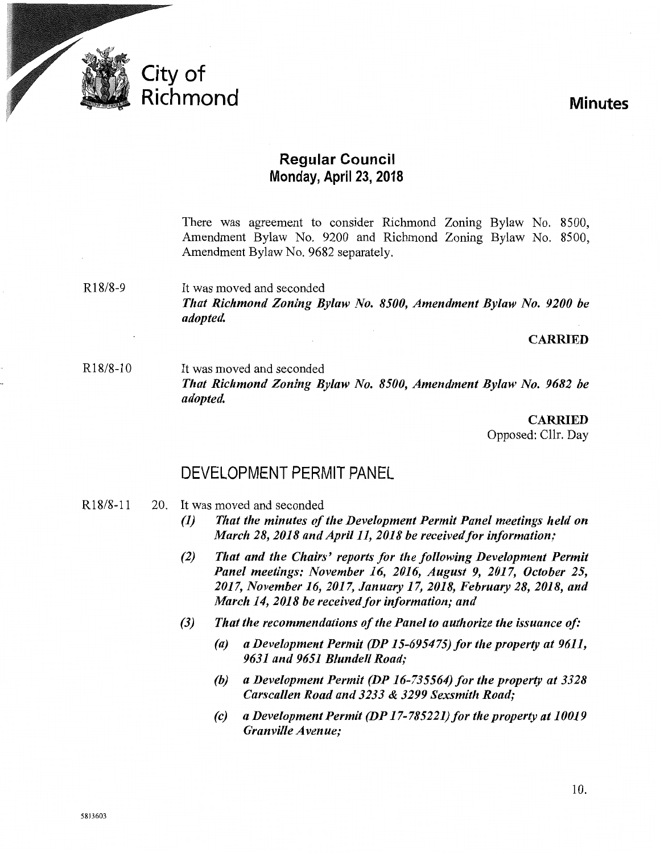

## **Regular Council Monday, April 23, 2018**

There was agreement to consider Richmond Zoning Bylaw No. 8500, Amendment Bylaw No. 9200 and Richmond Zoning Bylaw No. 8500, Amendment Bylaw No. 9682 separately.

R18/8-9 It was moved and seconded *That Richmond Zoning Bylaw No. 8500, Amendment Bylaw No. 9200 be adopted.* 

### CARRIED

R18/8-10 It was moved and seconded *That Richmond Zoning Bylaw No. 8500, Amendment Bylaw No. 9682 be adopted.* 

> CARRIED Opposed: Cllr. Day

## DEVELOPMENT PERMIT PANEL

- R18/8-ll 20. It was moved and seconded
	- *(1) That the minutes of the Development Permit Panel meetings held on March 28,2018 andApril11, 2018 be receivedfor information;*
	- *(2) That and the Chairs' reports for the following Development Permit Panel meetings: November 16, 2016, August 9, 2017, October 25, 2017, November 16, 2017, January 17, 2018, February 28, 2018, and March 14, 2018 be received for information; and*
	- *(3) That the recommendations of the Panel to authorize the issuance of:* 
		- *(a) a Development Permit (DP 15-695475) for the property at 9611, 9631 and 9651 Blundell Road;*
		- *(b) a Development Permit (DP 16-735564) for the property at 3328 Carscallen Road and 3233* & *3299 Sexsmith Road;*
		- *(c) a Development Permit (DP 17-785221)for the property at 10019 Granville A venue;*